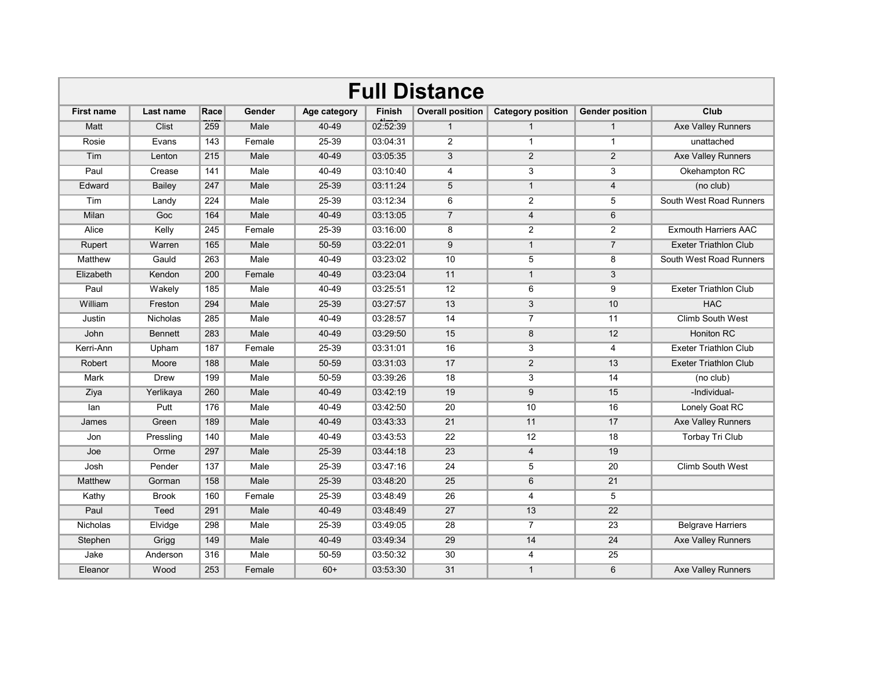| <b>Full Distance</b> |                 |      |               |              |               |                         |                          |                        |                              |  |
|----------------------|-----------------|------|---------------|--------------|---------------|-------------------------|--------------------------|------------------------|------------------------------|--|
| <b>First name</b>    | Last name       | Race | <b>Gender</b> | Age category | <b>Finish</b> | <b>Overall position</b> | <b>Category position</b> | <b>Gender position</b> | Club                         |  |
| Matt                 | Clist           | 259  | Male          | 40-49        | 02:52:39      | $\mathbf{1}$            | $\mathbf{1}$             | $\mathbf{1}$           | Axe Valley Runners           |  |
| Rosie                | Evans           | 143  | Female        | 25-39        | 03:04:31      | $\overline{2}$          | $\mathbf{1}$             | $\mathbf{1}$           | unattached                   |  |
| Tim                  | Lenton          | 215  | Male          | 40-49        | 03:05:35      | 3                       | 2                        | 2                      | Axe Valley Runners           |  |
| Paul                 | Crease          | 141  | Male          | 40-49        | 03:10:40      | $\overline{4}$          | 3                        | 3                      | Okehampton RC                |  |
| Edward               | Bailey          | 247  | Male          | 25-39        | 03:11:24      | 5                       | $\mathbf{1}$             | $\overline{4}$         | (no club)                    |  |
| Tim                  | Landy           | 224  | Male          | 25-39        | 03:12:34      | 6                       | $\overline{2}$           | 5                      | South West Road Runners      |  |
| Milan                | Goc             | 164  | Male          | 40-49        | 03:13:05      | $\overline{7}$          | 4                        | 6                      |                              |  |
| Alice                | Kelly           | 245  | Female        | 25-39        | 03:16:00      | 8                       | $\overline{2}$           | $\overline{2}$         | <b>Exmouth Harriers AAC</b>  |  |
| Rupert               | Warren          | 165  | Male          | 50-59        | 03:22:01      | 9                       | $\mathbf{1}$             | $\overline{7}$         | <b>Exeter Triathlon Club</b> |  |
| Matthew              | Gauld           | 263  | Male          | 40-49        | 03:23:02      | 10                      | 5                        | 8                      | South West Road Runners      |  |
| Elizabeth            | Kendon          | 200  | Female        | 40-49        | 03:23:04      | 11                      | $\mathbf{1}$             | 3                      |                              |  |
| Paul                 | Wakely          | 185  | Male          | 40-49        | 03:25:51      | 12                      | 6                        | 9                      | <b>Exeter Triathlon Club</b> |  |
| William              | Freston         | 294  | Male          | 25-39        | 03:27:57      | 13                      | 3                        | 10                     | <b>HAC</b>                   |  |
| Justin               | <b>Nicholas</b> | 285  | Male          | 40-49        | 03:28:57      | 14                      | $\overline{7}$           | 11                     | <b>Climb South West</b>      |  |
| John                 | <b>Bennett</b>  | 283  | Male          | 40-49        | 03:29:50      | 15                      | 8                        | 12                     | <b>Honiton RC</b>            |  |
| Kerri-Ann            | Upham           | 187  | Female        | 25-39        | 03:31:01      | 16                      | 3                        | 4                      | Exeter Triathlon Club        |  |
| Robert               | Moore           | 188  | Male          | 50-59        | 03:31:03      | 17                      | $\overline{2}$           | 13                     | <b>Exeter Triathlon Club</b> |  |
| Mark                 | Drew            | 199  | Male          | 50-59        | 03:39:26      | 18                      | 3                        | 14                     | (no club)                    |  |
| Ziya                 | Yerlikaya       | 260  | Male          | 40-49        | 03:42:19      | 19                      | 9                        | 15                     | -Individual-                 |  |
| lan                  | Putt            | 176  | Male          | 40-49        | 03:42:50      | 20                      | 10                       | 16                     | Lonely Goat RC               |  |
| James                | Green           | 189  | Male          | 40-49        | 03:43:33      | 21                      | 11                       | 17                     | Axe Valley Runners           |  |
| Jon                  | Pressling       | 140  | Male          | 40-49        | 03:43:53      | 22                      | 12                       | 18                     | Torbay Tri Club              |  |
| Joe                  | Orme            | 297  | Male          | 25-39        | 03:44:18      | 23                      | $\overline{4}$           | 19                     |                              |  |
| Josh                 | Pender          | 137  | Male          | 25-39        | 03:47:16      | 24                      | 5                        | 20                     | <b>Climb South West</b>      |  |
| Matthew              | Gorman          | 158  | Male          | 25-39        | 03:48:20      | 25                      | 6                        | 21                     |                              |  |
| Kathy                | <b>Brook</b>    | 160  | Female        | 25-39        | 03:48:49      | 26                      | 4                        | 5                      |                              |  |
| Paul                 | Teed            | 291  | Male          | 40-49        | 03:48:49      | 27                      | 13                       | 22                     |                              |  |
| <b>Nicholas</b>      | Elvidge         | 298  | Male          | 25-39        | 03:49:05      | 28                      | $\overline{7}$           | 23                     | <b>Belgrave Harriers</b>     |  |
| Stephen              | Grigg           | 149  | Male          | 40-49        | 03:49:34      | 29                      | 14                       | 24                     | <b>Axe Valley Runners</b>    |  |
| Jake                 | Anderson        | 316  | Male          | 50-59        | 03:50:32      | 30                      | 4                        | 25                     |                              |  |
| Eleanor              | Wood            | 253  | Female        | $60+$        | 03:53:30      | 31                      | $\mathbf{1}$             | 6                      | <b>Axe Valley Runners</b>    |  |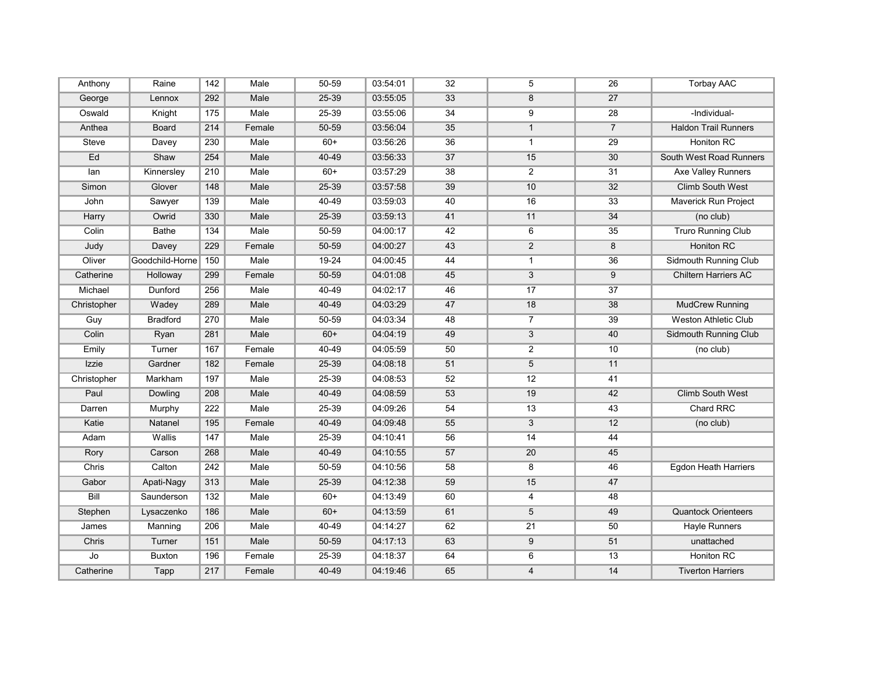| Anthony     | Raine           | 142 | Male   | 50-59 | 03:54:01 | 32 | 5                         | 26             | <b>Torbay AAC</b>           |
|-------------|-----------------|-----|--------|-------|----------|----|---------------------------|----------------|-----------------------------|
| George      | Lennox          | 292 | Male   | 25-39 | 03:55:05 | 33 | 8                         | 27             |                             |
| Oswald      | Knight          | 175 | Male   | 25-39 | 03:55:06 | 34 | 9                         | 28             | -Individual-                |
| Anthea      | Board           | 214 | Female | 50-59 | 03:56:04 | 35 | $\mathbf{1}$              | $\overline{7}$ | <b>Haldon Trail Runners</b> |
| Steve       | Davey           | 230 | Male   | $60+$ | 03:56:26 | 36 | $\mathbf{1}$              | 29             | Honiton RC                  |
| Ed          | Shaw            | 254 | Male   | 40-49 | 03:56:33 | 37 | 15                        | 30             | South West Road Runners     |
| lan         | Kinnersley      | 210 | Male   | $60+$ | 03:57:29 | 38 | $\overline{2}$            | 31             | Axe Valley Runners          |
| Simon       | Glover          | 148 | Male   | 25-39 | 03:57:58 | 39 | 10                        | 32             | <b>Climb South West</b>     |
| John        | Sawyer          | 139 | Male   | 40-49 | 03:59:03 | 40 | 16                        | 33             | Maverick Run Project        |
| Harry       | Owrid           | 330 | Male   | 25-39 | 03:59:13 | 41 | 11                        | 34             | (no club)                   |
| Colin       | <b>Bathe</b>    | 134 | Male   | 50-59 | 04:00:17 | 42 | 6                         | 35             | <b>Truro Running Club</b>   |
| Judy        | Davey           | 229 | Female | 50-59 | 04:00:27 | 43 | $\overline{2}$            | 8              | Honiton RC                  |
| Oliver      | Goodchild-Horne | 150 | Male   | 19-24 | 04:00:45 | 44 | $\mathbf{1}$              | 36             | Sidmouth Running Club       |
| Catherine   | Holloway        | 299 | Female | 50-59 | 04:01:08 | 45 | 3                         | 9              | Chiltern Harriers AC        |
| Michael     | Dunford         | 256 | Male   | 40-49 | 04:02:17 | 46 | 17                        | 37             |                             |
| Christopher | Wadey           | 289 | Male   | 40-49 | 04:03:29 | 47 | 18                        | 38             | <b>MudCrew Running</b>      |
| Guy         | <b>Bradford</b> | 270 | Male   | 50-59 | 04:03:34 | 48 | $\overline{7}$            | 39             | Weston Athletic Club        |
| Colin       | Ryan            | 281 | Male   | $60+$ | 04:04:19 | 49 | $\ensuremath{\mathsf{3}}$ | 40             | Sidmouth Running Club       |
| Emily       | Turner          | 167 | Female | 40-49 | 04:05:59 | 50 | $\overline{2}$            | 10             | (no club)                   |
| Izzie       | Gardner         | 182 | Female | 25-39 | 04:08:18 | 51 | 5                         | 11             |                             |
| Christopher | Markham         | 197 | Male   | 25-39 | 04:08:53 | 52 | 12                        | 41             |                             |
| Paul        | Dowling         | 208 | Male   | 40-49 | 04:08:59 | 53 | 19                        | 42             | <b>Climb South West</b>     |
| Darren      | Murphy          | 222 | Male   | 25-39 | 04:09:26 | 54 | 13                        | 43             | Chard RRC                   |
| Katie       | Natanel         | 195 | Female | 40-49 | 04:09:48 | 55 | $\sqrt{3}$                | 12             | (no club)                   |
| Adam        | Wallis          | 147 | Male   | 25-39 | 04:10:41 | 56 | 14                        | 44             |                             |
| Rory        | Carson          | 268 | Male   | 40-49 | 04:10:55 | 57 | 20                        | 45             |                             |
| Chris       | Calton          | 242 | Male   | 50-59 | 04:10:56 | 58 | 8                         | 46             | Egdon Heath Harriers        |
| Gabor       | Apati-Nagy      | 313 | Male   | 25-39 | 04:12:38 | 59 | 15                        | 47             |                             |
| Bill        | Saunderson      | 132 | Male   | $60+$ | 04:13:49 | 60 | $\overline{\mathbf{4}}$   | 48             |                             |
| Stephen     | Lysaczenko      | 186 | Male   | $60+$ | 04:13:59 | 61 | 5                         | 49             | <b>Quantock Orienteers</b>  |
| James       | Manning         | 206 | Male   | 40-49 | 04:14:27 | 62 | 21                        | 50             | Hayle Runners               |
| Chris       | Turner          | 151 | Male   | 50-59 | 04:17:13 | 63 | 9                         | 51             | unattached                  |
| Jo          | <b>Buxton</b>   | 196 | Female | 25-39 | 04:18:37 | 64 | 6                         | 13             | <b>Honiton RC</b>           |
| Catherine   | Tapp            | 217 | Female | 40-49 | 04:19:46 | 65 | $\overline{4}$            | 14             | <b>Tiverton Harriers</b>    |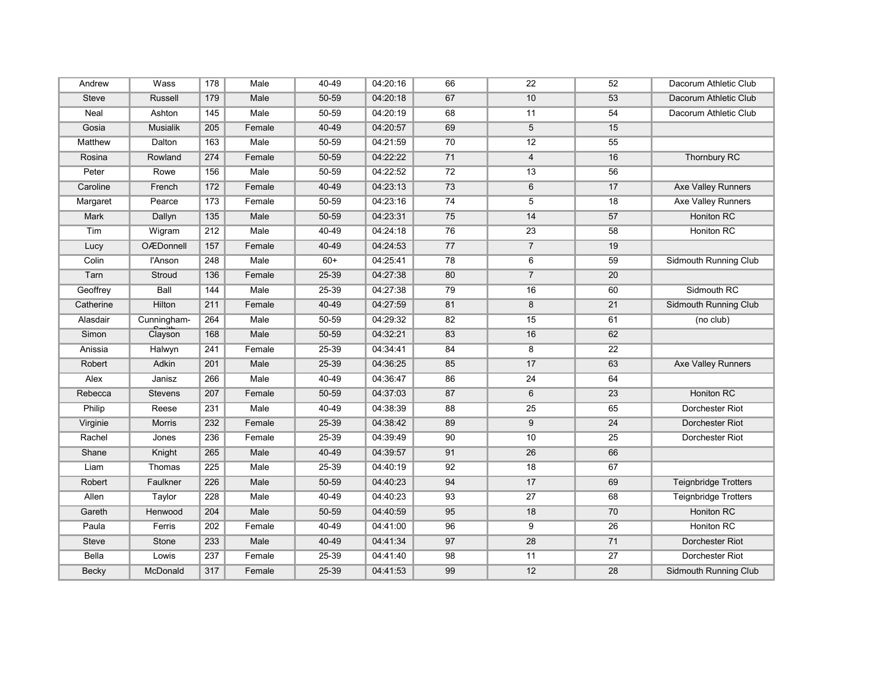| Andrew       | Wass             | 178 | Male   | 40-49 | 04:20:16 | 66 | 22                      | 52 | Dacorum Athletic Club       |
|--------------|------------------|-----|--------|-------|----------|----|-------------------------|----|-----------------------------|
| <b>Steve</b> | Russell          | 179 | Male   | 50-59 | 04:20:18 | 67 | 10                      | 53 | Dacorum Athletic Club       |
| Neal         | Ashton           | 145 | Male   | 50-59 | 04:20:19 | 68 | 11                      | 54 | Dacorum Athletic Club       |
| Gosia        | Musialik         | 205 | Female | 40-49 | 04:20:57 | 69 | 5                       | 15 |                             |
| Matthew      | Dalton           | 163 | Male   | 50-59 | 04:21:59 | 70 | 12                      | 55 |                             |
| Rosina       | Rowland          | 274 | Female | 50-59 | 04:22:22 | 71 | $\overline{\mathbf{4}}$ | 16 | <b>Thornbury RC</b>         |
| Peter        | Rowe             | 156 | Male   | 50-59 | 04:22:52 | 72 | 13                      | 56 |                             |
| Caroline     | French           | 172 | Female | 40-49 | 04:23:13 | 73 | 6                       | 17 | Axe Valley Runners          |
| Margaret     | Pearce           | 173 | Female | 50-59 | 04:23:16 | 74 | 5                       | 18 | Axe Valley Runners          |
| Mark         | Dallyn           | 135 | Male   | 50-59 | 04:23:31 | 75 | 14                      | 57 | Honiton RC                  |
| Tim          | Wigram           | 212 | Male   | 40-49 | 04:24:18 | 76 | 23                      | 58 | Honiton RC                  |
| Lucy         | <b>OÆDonnell</b> | 157 | Female | 40-49 | 04:24:53 | 77 | $\overline{7}$          | 19 |                             |
| Colin        | l'Anson          | 248 | Male   | $60+$ | 04:25:41 | 78 | 6                       | 59 | Sidmouth Running Club       |
| Tarn         | Stroud           | 136 | Female | 25-39 | 04:27:38 | 80 | $\overline{7}$          | 20 |                             |
| Geoffrey     | Ball             | 144 | Male   | 25-39 | 04:27:38 | 79 | 16                      | 60 | Sidmouth RC                 |
| Catherine    | Hilton           | 211 | Female | 40-49 | 04:27:59 | 81 | 8                       | 21 | Sidmouth Running Club       |
| Alasdair     | Cunningham-      | 264 | Male   | 50-59 | 04:29:32 | 82 | 15                      | 61 | (no club)                   |
| Simon        | Clayson          | 168 | Male   | 50-59 | 04:32:21 | 83 | 16                      | 62 |                             |
| Anissia      | Halwyn           | 241 | Female | 25-39 | 04:34:41 | 84 | 8                       | 22 |                             |
| Robert       | Adkin            | 201 | Male   | 25-39 | 04:36:25 | 85 | 17                      | 63 | Axe Valley Runners          |
| Alex         | Janisz           | 266 | Male   | 40-49 | 04:36:47 | 86 | 24                      | 64 |                             |
| Rebecca      | <b>Stevens</b>   | 207 | Female | 50-59 | 04:37:03 | 87 | 6                       | 23 | <b>Honiton RC</b>           |
| Philip       | Reese            | 231 | Male   | 40-49 | 04:38:39 | 88 | 25                      | 65 | Dorchester Riot             |
| Virginie     | <b>Morris</b>    | 232 | Female | 25-39 | 04:38:42 | 89 | $\boldsymbol{9}$        | 24 | Dorchester Riot             |
| Rachel       | Jones            | 236 | Female | 25-39 | 04:39:49 | 90 | 10                      | 25 | Dorchester Riot             |
| Shane        | Knight           | 265 | Male   | 40-49 | 04:39:57 | 91 | 26                      | 66 |                             |
| Liam         | Thomas           | 225 | Male   | 25-39 | 04:40:19 | 92 | 18                      | 67 |                             |
| Robert       | Faulkner         | 226 | Male   | 50-59 | 04:40:23 | 94 | 17                      | 69 | <b>Teignbridge Trotters</b> |
| Allen        | Taylor           | 228 | Male   | 40-49 | 04:40:23 | 93 | 27                      | 68 | Teignbridge Trotters        |
| Gareth       | Henwood          | 204 | Male   | 50-59 | 04:40:59 | 95 | 18                      | 70 | Honiton RC                  |
| Paula        | Ferris           | 202 | Female | 40-49 | 04:41:00 | 96 | 9                       | 26 | Honiton RC                  |
| Steve        | Stone            | 233 | Male   | 40-49 | 04:41:34 | 97 | 28                      | 71 | Dorchester Riot             |
| <b>Bella</b> | Lowis            | 237 | Female | 25-39 | 04:41:40 | 98 | 11                      | 27 | Dorchester Riot             |
| <b>Becky</b> | McDonald         | 317 | Female | 25-39 | 04:41:53 | 99 | 12                      | 28 | Sidmouth Running Club       |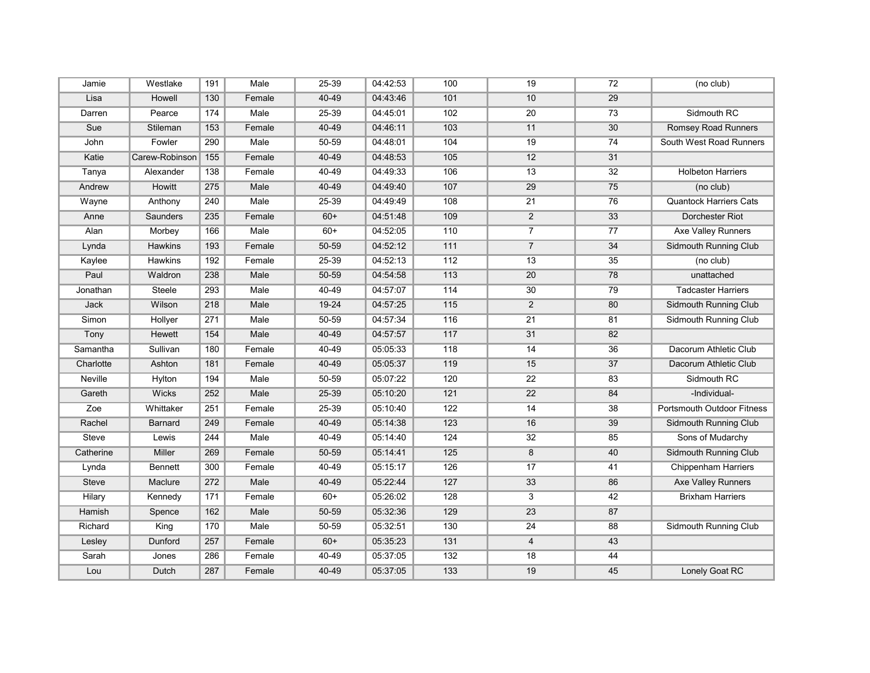| Jamie        | Westlake       | 191 | Male   | 25-39 | 04:42:53 | 100 | 19              | 72 | (no club)                  |
|--------------|----------------|-----|--------|-------|----------|-----|-----------------|----|----------------------------|
| Lisa         | Howell         | 130 | Female | 40-49 | 04:43:46 | 101 | 10              | 29 |                            |
| Darren       | Pearce         | 174 | Male   | 25-39 | 04:45:01 | 102 | 20              | 73 | Sidmouth RC                |
| Sue          | Stileman       | 153 | Female | 40-49 | 04:46:11 | 103 | 11              | 30 | Romsey Road Runners        |
| John         | Fowler         | 290 | Male   | 50-59 | 04:48:01 | 104 | 19              | 74 | South West Road Runners    |
| Katie        | Carew-Robinson | 155 | Female | 40-49 | 04:48:53 | 105 | 12              | 31 |                            |
| Tanya        | Alexander      | 138 | Female | 40-49 | 04:49:33 | 106 | 13              | 32 | <b>Holbeton Harriers</b>   |
| Andrew       | Howitt         | 275 | Male   | 40-49 | 04:49:40 | 107 | 29              | 75 | (no club)                  |
| Wayne        | Anthony        | 240 | Male   | 25-39 | 04:49:49 | 108 | 21              | 76 | Quantock Harriers Cats     |
| Anne         | Saunders       | 235 | Female | $60+$ | 04:51:48 | 109 | $\overline{2}$  | 33 | Dorchester Riot            |
| Alan         | Morbey         | 166 | Male   | $60+$ | 04:52:05 | 110 | $\overline{7}$  | 77 | Axe Valley Runners         |
| Lynda        | Hawkins        | 193 | Female | 50-59 | 04:52:12 | 111 | $\overline{7}$  | 34 | Sidmouth Running Club      |
| Kaylee       | Hawkins        | 192 | Female | 25-39 | 04:52:13 | 112 | 13              | 35 | (no club)                  |
| Paul         | Waldron        | 238 | Male   | 50-59 | 04:54:58 | 113 | 20              | 78 | unattached                 |
| Jonathan     | <b>Steele</b>  | 293 | Male   | 40-49 | 04:57:07 | 114 | 30              | 79 | <b>Tadcaster Harriers</b>  |
| Jack         | Wilson         | 218 | Male   | 19-24 | 04:57:25 | 115 | $\overline{2}$  | 80 | Sidmouth Running Club      |
| Simon        | Hollyer        | 271 | Male   | 50-59 | 04:57:34 | 116 | 21              | 81 | Sidmouth Running Club      |
| Tony         | <b>Hewett</b>  | 154 | Male   | 40-49 | 04:57:57 | 117 | 31              | 82 |                            |
| Samantha     | Sullivan       | 180 | Female | 40-49 | 05:05:33 | 118 | 14              | 36 | Dacorum Athletic Club      |
| Charlotte    | Ashton         | 181 | Female | 40-49 | 05:05:37 | 119 | 15              | 37 | Dacorum Athletic Club      |
| Neville      | Hylton         | 194 | Male   | 50-59 | 05:07:22 | 120 | $\overline{22}$ | 83 | Sidmouth RC                |
| Gareth       | Wicks          | 252 | Male   | 25-39 | 05:10:20 | 121 | 22              | 84 | -Individual-               |
| Zoe          | Whittaker      | 251 | Female | 25-39 | 05:10:40 | 122 | 14              | 38 | Portsmouth Outdoor Fitness |
| Rachel       | Barnard        | 249 | Female | 40-49 | 05:14:38 | 123 | 16              | 39 | Sidmouth Running Club      |
| <b>Steve</b> | Lewis          | 244 | Male   | 40-49 | 05:14:40 | 124 | 32              | 85 | Sons of Mudarchy           |
| Catherine    | <b>Miller</b>  | 269 | Female | 50-59 | 05:14:41 | 125 | 8               | 40 | Sidmouth Running Club      |
| Lynda        | <b>Bennett</b> | 300 | Female | 40-49 | 05:15:17 | 126 | 17              | 41 | <b>Chippenham Harriers</b> |
| Steve        | Maclure        | 272 | Male   | 40-49 | 05:22:44 | 127 | 33              | 86 | Axe Valley Runners         |
| Hilary       | Kennedy        | 171 | Female | $60+$ | 05:26:02 | 128 | 3               | 42 | <b>Brixham Harriers</b>    |
| Hamish       | Spence         | 162 | Male   | 50-59 | 05:32:36 | 129 | 23              | 87 |                            |
| Richard      | King           | 170 | Male   | 50-59 | 05:32:51 | 130 | 24              | 88 | Sidmouth Running Club      |
| Lesley       | Dunford        | 257 | Female | $60+$ | 05:35:23 | 131 | $\overline{4}$  | 43 |                            |
| Sarah        | Jones          | 286 | Female | 40-49 | 05:37:05 | 132 | 18              | 44 |                            |
| Lou          | Dutch          | 287 | Female | 40-49 | 05:37:05 | 133 | 19              | 45 | Lonely Goat RC             |